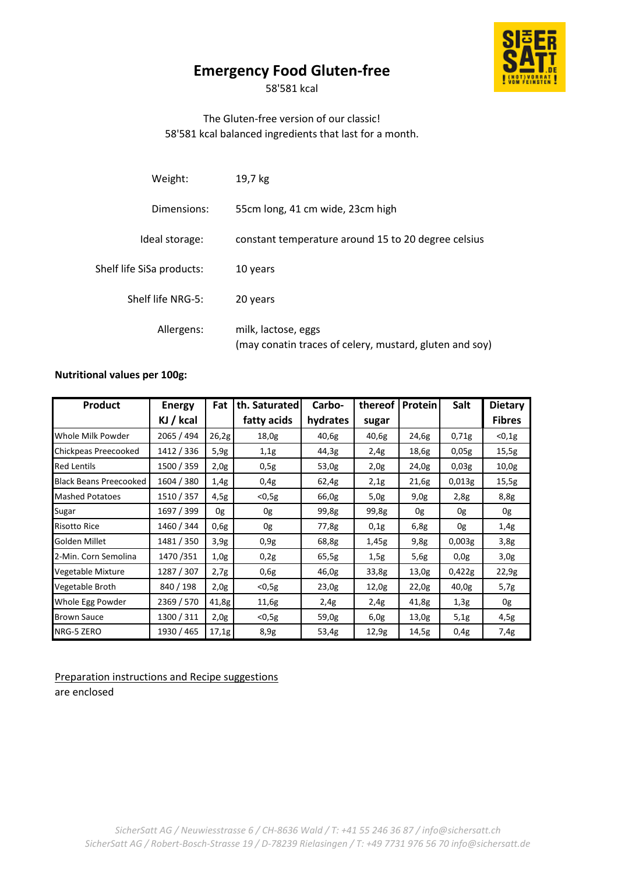# **Emergency Food Gluten-free**

58'581 kcal

## The Gluten-free version of our classic! 58'581 kcal balanced ingredients that last for a month.

| Weight:                   | 19,7 kg                                                                        |
|---------------------------|--------------------------------------------------------------------------------|
| Dimensions:               | 55cm long, 41 cm wide, 23cm high                                               |
| Ideal storage:            | constant temperature around 15 to 20 degree celsius                            |
| Shelf life SiSa products: | 10 years                                                                       |
| Shelf life NRG-5:         | 20 years                                                                       |
| Allergens:                | milk, lactose, eggs<br>(may conatin traces of celery, mustard, gluten and soy) |

### **Nutritional values per 100g:**

| Product                       | <b>Energy</b> | Fat   | th. Saturated | Carbo-   | thereof | Protein | Salt   | <b>Dietary</b> |
|-------------------------------|---------------|-------|---------------|----------|---------|---------|--------|----------------|
|                               | KJ / kcal     |       | fatty acids   | hydrates | sugar   |         |        | <b>Fibres</b>  |
| Whole Milk Powder             | 2065 / 494    | 26,2g | 18,0g         | 40,6g    | 40,6g   | 24,6g   | 0,71g  | $0,1g$         |
| Chickpeas Preecooked          | 1412 / 336    | 5,9g  | 1,1g          | 44,3g    | 2,4g    | 18,6g   | 0,05g  | 15,5g          |
| <b>Red Lentils</b>            | 1500 / 359    | 2,0g  | 0,5g          | 53,0g    | 2,0g    | 24,0g   | 0,03g  | 10,0g          |
| <b>Black Beans Preecooked</b> | 1604 / 380    | 1,4g  | 0,4g          | 62,4g    | 2,1g    | 21,6g   | 0,013g | 15,5g          |
| <b>Mashed Potatoes</b>        | 1510 / 357    | 4,5g  | $<$ 0,5g      | 66,0g    | 5,0g    | 9,0g    | 2,8g   | 8,8g           |
| Sugar                         | 1697 / 399    | 0g    | 0g            | 99,8g    | 99,8g   | 0g      | 0g     | 0g             |
| <b>Risotto Rice</b>           | 1460 / 344    | 0,6g  | 0g            | 77,8g    | 0,1g    | 6,8g    | 0g     | 1,4g           |
| Golden Millet                 | 1481 / 350    | 3,9g  | 0.9g          | 68,8g    | 1,45g   | 9,8g    | 0,003g | 3,8g           |
| 2-Min. Corn Semolina          | 1470/351      | 1,0g  | 0,2g          | 65,5g    | 1,5g    | 5,6g    | 0,0g   | 3,0g           |
| Vegetable Mixture             | 1287 / 307    | 2,7g  | 0,6g          | 46,0g    | 33,8g   | 13,0g   | 0,422g | 22,9g          |
| Vegetable Broth               | 840 / 198     | 2,0g  | $<$ 0,5g      | 23,0g    | 12,0g   | 22,0g   | 40,0g  | 5,7g           |
| Whole Egg Powder              | 2369 / 570    | 41,8g | 11,6g         | 2,4g     | 2,4g    | 41,8g   | 1,3g   | 0g             |
| <b>Brown Sauce</b>            | 1300 / 311    | 2,0g  | $<$ 0,5g      | 59,0g    | 6,0g    | 13,0g   | 5,1g   | 4,5g           |
| NRG-5 ZERO                    | 1930 / 465    | 17,1g | 8,9g          | 53,4g    | 12,9g   | 14,5g   | 0,4g   | 7,4g           |

Preparation instructions and Recipe suggestions are enclosed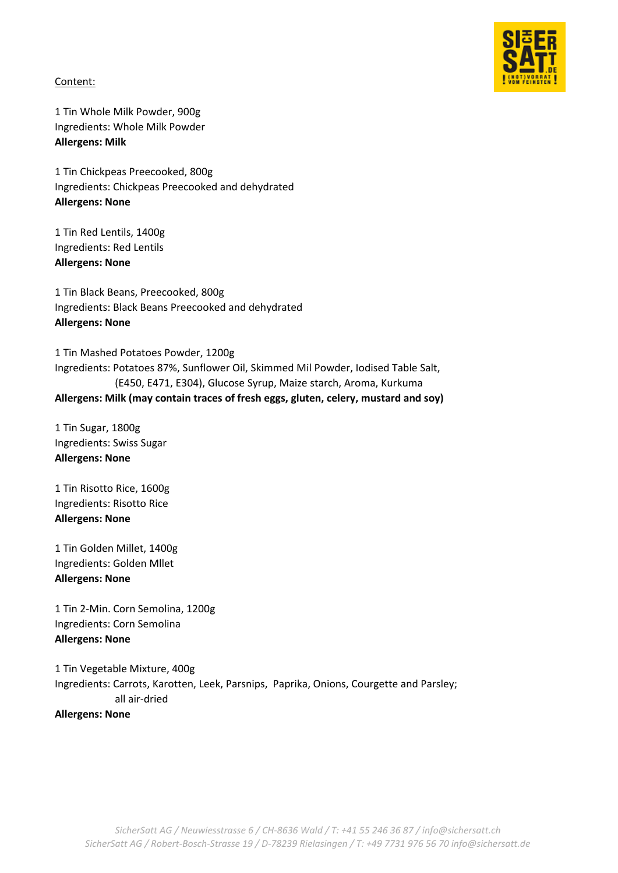

Content:

1 Tin Whole Milk Powder, 900g Ingredients: Whole Milk Powder **Allergens: Milk**

1 Tin Chickpeas Preecooked, 800g Ingredients: Chickpeas Preecooked and dehydrated **Allergens: None**

1 Tin Red Lentils, 1400g Ingredients: Red Lentils **Allergens: None**

1 Tin Black Beans, Preecooked, 800g Ingredients: Black Beans Preecooked and dehydrated **Allergens: None**

1 Tin Mashed Potatoes Powder, 1200g Ingredients: Potatoes 87%, Sunflower Oil, Skimmed Mil Powder, Iodised Table Salt, (E450, E471, E304), Glucose Syrup, Maize starch, Aroma, Kurkuma **Allergens: Milk (may contain traces of fresh eggs, gluten, celery, mustard and soy)** 

1 Tin Sugar, 1800g Ingredients: Swiss Sugar **Allergens: None**

1 Tin Risotto Rice, 1600g Ingredients: Risotto Rice **Allergens: None**

1 Tin Golden Millet, 1400g Ingredients: Golden Mllet **Allergens: None**

1 Tin 2-Min. Corn Semolina, 1200g Ingredients: Corn Semolina **Allergens: None**

1 Tin Vegetable Mixture, 400g Ingredients: Carrots, Karotten, Leek, Parsnips, Paprika, Onions, Courgette and Parsley; all air-dried **Allergens: None**